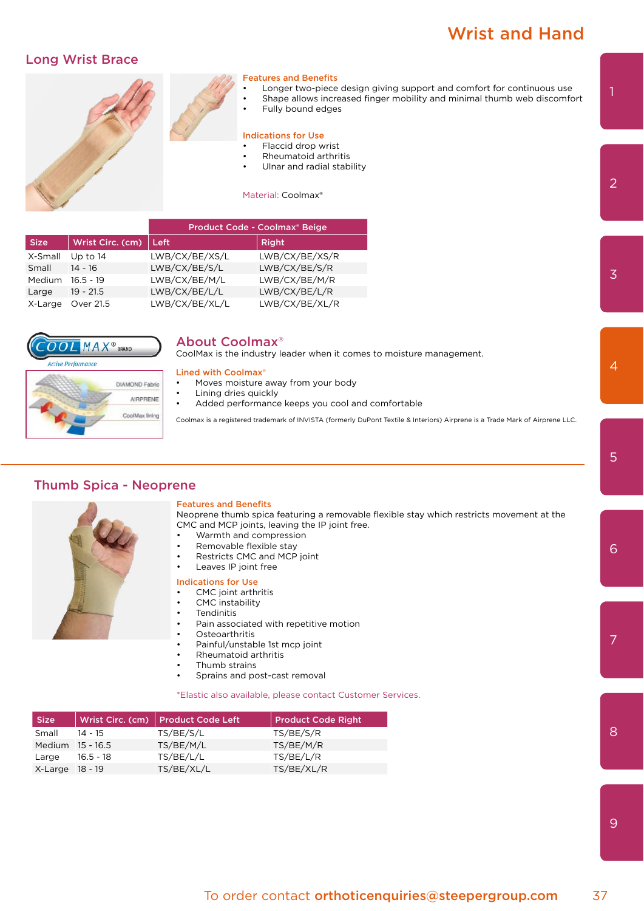# Wrist and Hand

# Long Wrist Brace



|             |                          | Product Code - Coolmax® Beige |                |
|-------------|--------------------------|-------------------------------|----------------|
| <b>Size</b> | Wrist Circ. (cm) $\vert$ | Left                          | Right          |
| X-Small     | Up to $14$               | LWB/CX/BE/XS/L                | LWB/CX/BE/XS/R |
| Small       | $14 - 16$                | LWB/CX/BE/S/L                 | LWB/CX/BE/S/R  |
| Medium      | $16.5 - 19$              | LWB/CX/BE/M/L                 | LWB/CX/BE/M/R  |
| Large       | $19 - 21.5$              | LWB/CX/BE/L/L                 | LWB/CX/BE/L/R  |
| X-Large     | Over 21.5                | LWB/CX/BE/XL/L                | LWB/CX/BE/XL/R |



## About Coolmax®

CoolMax is the industry leader when it comes to moisture management.

### Lined with Coolmax®

- Moves moisture away from your body
- Lining dries quickly
- Added performance keeps you cool and comfortable

Coolmax is a registered trademark of INVISTA (formerly DuPont Textile & Interiors) Airprene is a Trade Mark of Airprene LLC.

# Thumb Spica - Neoprene

CoolMax lining

#### Features and Benefits

Neoprene thumb spica featuring a removable flexible stay which restricts movement at the CMC and MCP joints, leaving the IP joint free.

- Warmth and compression
- Removable flexible stay
- Restricts CMC and MCP joint
- Leaves IP joint free

#### Indications for Use

- CMC joint arthritis
- CMC instability
- **Tendinitis**
- Pain associated with repetitive motion
- **Osteoarthritis**
- Painful/unstable 1st mcp joint
- Rheumatoid arthritis
- Thumb strains
- Sprains and post-cast removal

\*Elastic also available, please contact Customer Services.

| <b>Size</b>      |           | Wrist Circ. (cm)   Product Code Left | Product Code Right |
|------------------|-----------|--------------------------------------|--------------------|
| Small            | $14 - 15$ | TS/BE/S/L                            | TS/BE/S/R          |
| Medium 15 - 16.5 |           | TS/BE/M/L                            | TS/BE/M/R          |
| Large            | 16.5 - 18 | TS/BE/L/L                            | TS/BE/L/R          |
| X-Large 18 - 19  |           | TS/BE/XL/L                           | TS/BE/XL/R         |

9

7

3

2

1

6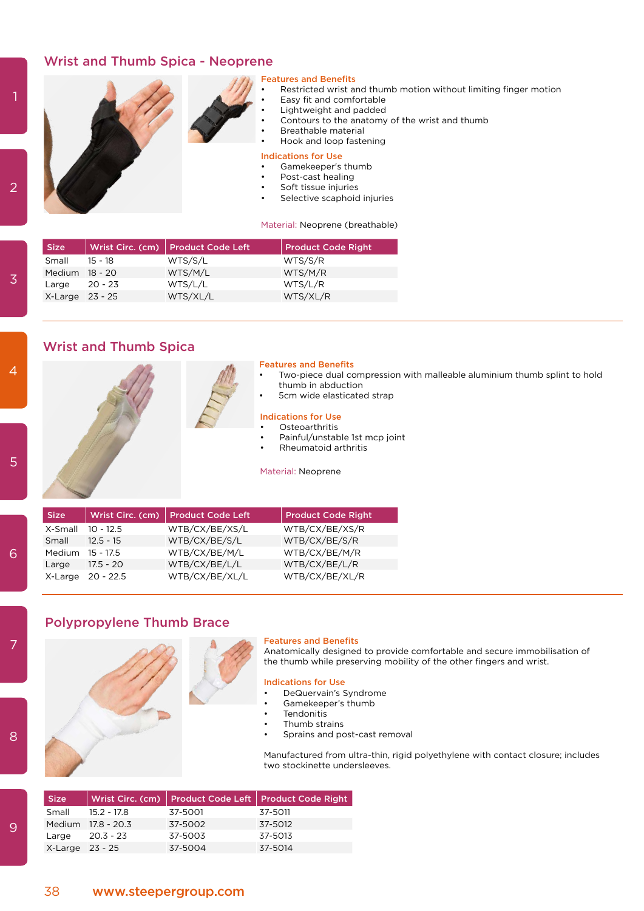# Wrist and Thumb Spica - Neoprene

 $\overline{2}$ 

#### eatures and Benefits

- Restricted wrist and thumb motion without limiting finger motion
- Easy fit and comfortable
- Lightweight and padded
- Contours to the anatomy of the wrist and thumb
- Breathable material
- Hook and loop fastening

#### Indications for Use

- Gamekeeper's thumb
- Post-cast healing
- Soft tissue injuries
- Selective scaphoid injuries

Material: Neoprene (breathable)

| <b>Size</b>     |           | Wrist Circ. (cm)   Product Code Left | <b>Product Code Right</b> |
|-----------------|-----------|--------------------------------------|---------------------------|
| Small           | $15 - 18$ | WTS/S/L                              | WTS/S/R                   |
| Medium 18 - 20  |           | WTS/M/L                              | WTS/M/R                   |
| Large           | $20 - 23$ | WTS/L/L                              | WTS/L/R                   |
| X-Large 23 - 25 |           | WTS/XL/L                             | WTS/XL/R                  |

# Wrist and Thumb Spica

#### Features and Benefits

- Two-piece dual compression with malleable aluminium thumb splint to hold thumb in abduction
- 5cm wide elasticated strap

# Indications for Use

- **Osteoarthritis**
- Painful/unstable 1st mcp joint
- Rheumatoid arthritis

Material: Neoprene

| <b>Size</b>      |                   | Wrist Circ. (cm) Product Code Left | <b>Product Code Right</b> |
|------------------|-------------------|------------------------------------|---------------------------|
| X-Small          | $10 - 12.5$       | WTB/CX/BE/XS/L                     | WTB/CX/BE/XS/R            |
| Small            | $12.5 - 15$       | WTB/CX/BE/S/L                      | WTB/CX/BE/S/R             |
| Medium 15 - 17.5 |                   | WTB/CX/BE/M/L                      | WTB/CX/BE/M/R             |
| Large            | $17.5 - 20$       | WTB/CX/BE/L/L                      | WTB/CX/BE/L/R             |
|                  | X-Large 20 - 22.5 | WTB/CX/BE/XL/L                     | WTB/CX/BE/XL/R            |

# Polypropylene Thumb Brace

#### Features and Benefits

Anatomically designed to provide comfortable and secure immobilisation of the thumb while preserving mobility of the other fingers and wrist.

#### Indications for Use

- DeQuervain's Syndrome
- Gamekeeper's thumb
- **Tendonitis**
- Thumb strains
- Sprains and post-cast removal

Manufactured from ultra-thin, rigid polyethylene with contact closure; includes two stockinette undersleeves.

| <b>Size</b>     |                    |         | Wrist Circ. (cm) Product Code Left   Product Code Right |
|-----------------|--------------------|---------|---------------------------------------------------------|
| Small           | 15.2 - 17.8        | 37-5001 | 37-5011                                                 |
|                 | Medium 17.8 - 20.3 | 37-5002 | 37-5012                                                 |
| Large           | 20.3 - 23          | 37-5003 | 37-5013                                                 |
| X-Large 23 - 25 |                    | 37-5004 | 37-5014                                                 |

8

7

6

9

3